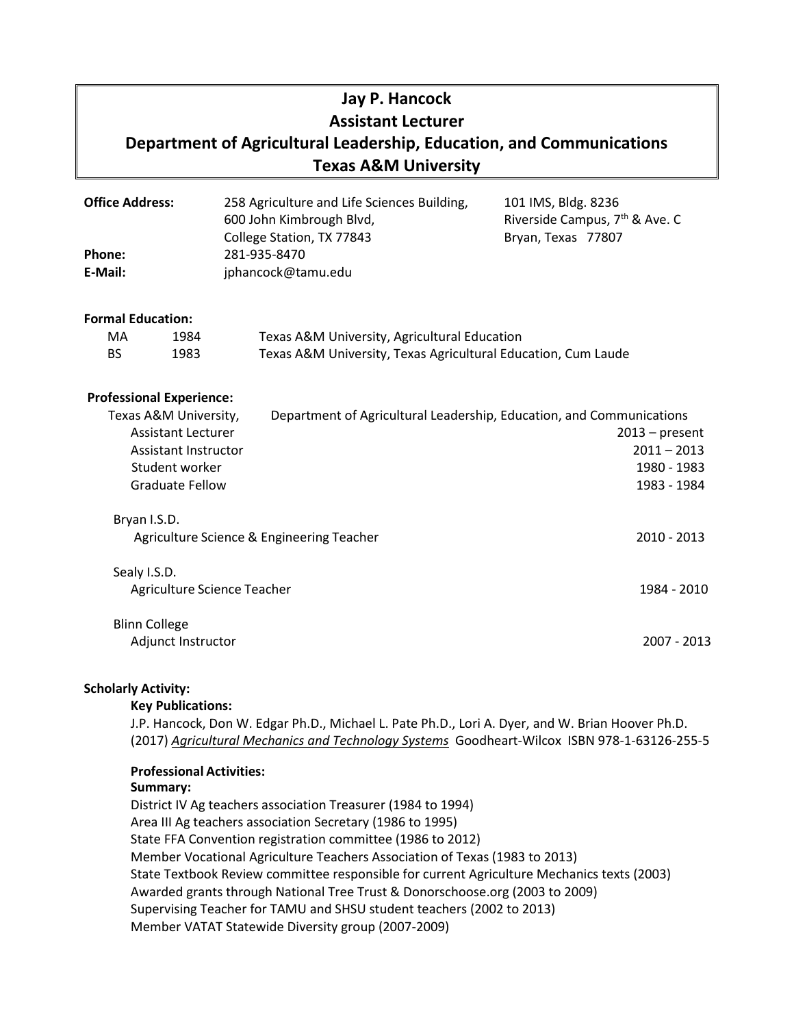# **Jay P. Hancock Assistant Lecturer Department of Agricultural Leadership, Education, and Communications Texas A&M University**

| <b>Office Address:</b> | 258 Agriculture and Life Sciences Building, | 101 IMS, Bldg. 8236                        |
|------------------------|---------------------------------------------|--------------------------------------------|
|                        | 600 John Kimbrough Blvd,                    | Riverside Campus, 7 <sup>th</sup> & Ave. C |
|                        | College Station, TX 77843                   | Bryan, Texas 77807                         |
| Phone:                 | 281-935-8470                                |                                            |
| E-Mail:                | jphancock@tamu.edu                          |                                            |

#### **Formal Education:**

| MA   | 1984 | Texas A&M University, Agricultural Education                  |
|------|------|---------------------------------------------------------------|
| - BS | 1983 | Texas A&M University, Texas Agricultural Education, Cum Laude |

#### **Professional Experience:**

| Texas A&M University,                                     | Department of Agricultural Leadership, Education, and Communications |                  |  |
|-----------------------------------------------------------|----------------------------------------------------------------------|------------------|--|
| <b>Assistant Lecturer</b>                                 |                                                                      | $2013$ – present |  |
| Assistant Instructor                                      |                                                                      | $2011 - 2013$    |  |
| Student worker                                            |                                                                      | 1980 - 1983      |  |
| <b>Graduate Fellow</b>                                    |                                                                      | 1983 - 1984      |  |
| Bryan I.S.D.<br>Agriculture Science & Engineering Teacher |                                                                      | $2010 - 2013$    |  |
| Sealy I.S.D.<br>Agriculture Science Teacher               |                                                                      | 1984 - 2010      |  |
| <b>Blinn College</b><br>Adjunct Instructor                |                                                                      | 2007 - 2013      |  |

# **Scholarly Activity:**

#### **Key Publications:**

J.P. Hancock, Don W. Edgar Ph.D., Michael L. Pate Ph.D., Lori A. Dyer, and W. Brian Hoover Ph.D. (2017) *Agricultural Mechanics and Technology Systems*Goodheart-Wilcox ISBN 978-1-63126-255-5

### **Professional Activities:**

#### **Summary:**

District IV Ag teachers association Treasurer (1984 to 1994) Area III Ag teachers association Secretary (1986 to 1995) State FFA Convention registration committee (1986 to 2012) Member Vocational Agriculture Teachers Association of Texas (1983 to 2013) State Textbook Review committee responsible for current Agriculture Mechanics texts (2003) Awarded grants through National Tree Trust & Donorschoose.org (2003 to 2009) Supervising Teacher for TAMU and SHSU student teachers (2002 to 2013) Member VATAT Statewide Diversity group (2007-2009)